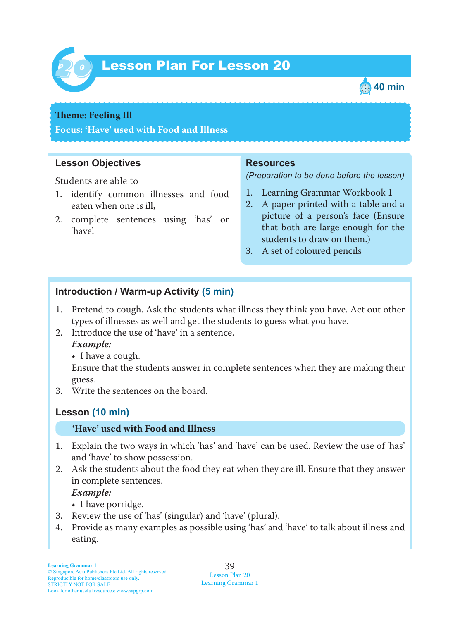

# Lesson Plan For Lesson 20 *20*



#### **Theme: Feeling Ill**

**Focus: 'Have' used with Food and Illness**

## **Lesson Objectives**

Students are able to

- 1. identify common illnesses and food eaten when one is ill,
- 2. complete sentences using 'has' or 'have'.

#### **Resources**

*(Preparation to be done before the lesson)*

- 1. Learning Grammar Workbook 1
- 2. A paper printed with a table and a picture of a person's face (Ensure that both are large enough for the students to draw on them.)
- 3. A set of coloured pencils

## **Introduction / Warm-up Activity (5 min)**

- 1. Pretend to cough. Ask the students what illness they think you have. Act out other types of illnesses as well and get the students to guess what you have.
- 2. Introduce the use of 'have' in a sentence.
	- *Example:*
		- I have a cough.

Ensure that the students answer in complete sentences when they are making their guess.

3. Write the sentences on the board.

## **Lesson (10 min)**

#### **'Have' used with Food and Illness**

- 1. Explain the two ways in which 'has' and 'have' can be used. Review the use of 'has' and 'have' to show possession.
- 2. Ask the students about the food they eat when they are ill. Ensure that they answer in complete sentences.

 *Example:*

- I have porridge.
- 3. Review the use of 'has' (singular) and 'have' (plural).
- 4. Provide as many examples as possible using 'has' and 'have' to talk about illness and eating.

39 Lesson Plan 20 Learning Grammar 1